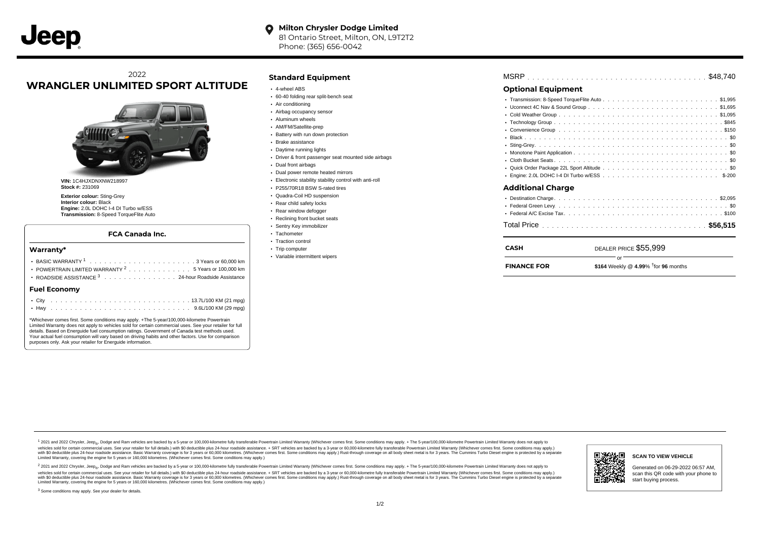# 2022 **WRANGLER UNLIMITED SPORT ALTITUDE**



**VIN:** 1C4HJXDNXNW218997 **Stock #:** 231069

**Exterior colour:** Sting-Grey **Interior colour:** Black **Engine:** 2.0L DOHC I-4 DI Turbo w/ESS **Transmission:** 8-Speed TorqueFlite Auto

### **FCA Canada Inc.**

### **Warranty\***

|                     |  |  | POWERTRAIN LIMITED WARRANTY <sup>2</sup> 5 Years or 100,000 km<br>ROADSIDE ASSISTANCE 3 24-hour Roadside Assistance |
|---------------------|--|--|---------------------------------------------------------------------------------------------------------------------|
| <b>Fuel Economy</b> |  |  |                                                                                                                     |
|                     |  |  |                                                                                                                     |

\*Whichever comes first. Some conditions may apply. +The 5-year/100,000-kilometre Powertrain Limited Warranty does not apply to vehicles sold for certain commercial uses. See your retailer for full details. Based on Energuide fuel consumption ratings. Government of Canada test methods used. Your actual fuel consumption will vary based on driving habits and other factors. Use for comparison purposes only. Ask your retailer for Energuide information.

## **Standard Equipment**

- 4-wheel ABS
- 60-40 folding rear split-bench seat
- Air conditioning
- Airbag occupancy sensor
- Aluminum wheels
- AM/FM/Satellite-prep
- Battery with run down protection
- Brake assistance
- Daytime running lights
- Driver & front passenger seat mounted side airbags
- Dual front airbags
- Dual power remote heated mirrors
- Electronic stability stability control with anti-roll
- P255/70R18 BSW S-rated tires
- Quadra-Coil HD suspension
- Rear child safety locks
- Rear window defogger
- Reclining front bucket seats
- Sentry Key immobilizer
- · Tachometer
- Traction control • Trip computer
- 
- Variable intermittent wipers

| <b>Additional Charge</b> |  |  |  |
|--------------------------|--|--|--|
|                          |  |  |  |
|                          |  |  |  |
|                          |  |  |  |
|                          |  |  |  |
|                          |  |  |  |
|                          |  |  |  |
|                          |  |  |  |
|                          |  |  |  |
|                          |  |  |  |
|                          |  |  |  |

1 2021 and 2022 Chrysler, Jeep<sub>en</sub> Dodge and Ram vehicles are backed by a 5-year or 100,000-kilometre fully transferable Powertrain Limited Warranty (Whichever comes first. Some conditions may apply. + The 5-year/100,000-k vehicles sold for certain commercial uses. See your retailer for full details.) with \$0 deductible plus 24-hour roadside assistance. + SRT vehicles are backed by a 3-year or 60,000-kilometre fully transferable Powertrain L versus and contract the mean of the contract of the contract with a contract with a contract the contract of the search of the contract and a control of the contract and contract and control of the search of the search of Limited Warranty, covering the engine for 5 years or 160,000 kilometres. (Whichever comes first. Some conditions may apply.)

<sup>2</sup> 2021 and 2022 Chrysler, Jeep<sub>®</sub>, Dodge and Ram vehicles are backed by a 5-year or 100,000-kilometre fully transferable Powertrain Limited Warranty (Whichever comes first. Some conditions may apply. + The 5-year/100,000 vehicles sold for certain commercial uses. See your retailer for full details.) with SO deductible plus 24-hour roadside assistance. + SRT vehicles are backed by a 3-year or 60.000-kilometre fully transferable Powertrain. with S0 deductible plus 24-hour roadside assistance. Basic Warranty coverage is for 3 years or 60,000 kilometres. (Whichever comes first. Some conditions may apply.) Rust-through coverage on all body sheet metal is for 3 y



**SCAN TO VIEW VEHICLE**

Generated on 06-29-2022 06:57 AM, scan this QR code with your phone to start buying process.

<sup>3</sup> Some conditions may apply. See your dealer for details.